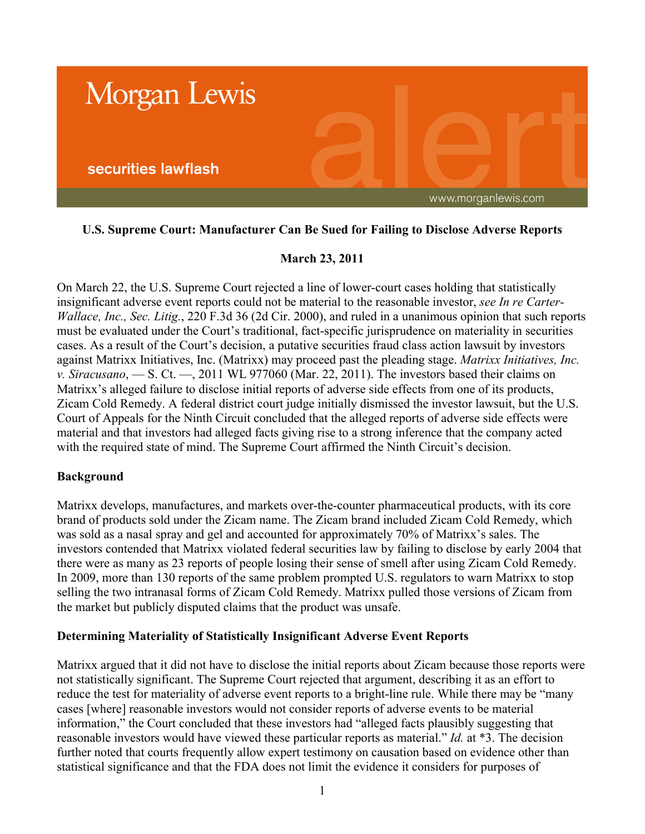

# **U.S. Supreme Court: Manufacturer Can Be Sued for Failing to Disclose Adverse Reports**

# **March 23, 2011**

On March 22, the U.S. Supreme Court rejected a line of lower-court cases holding that statistically insignificant adverse event reports could not be material to the reasonable investor, *see In re Carter-Wallace, Inc., Sec. Litig.*, 220 F.3d 36 (2d Cir. 2000), and ruled in a unanimous opinion that such reports must be evaluated under the Court's traditional, fact-specific jurisprudence on materiality in securities cases. As a result of the Court's decision, a putative securities fraud class action lawsuit by investors against Matrixx Initiatives, Inc. (Matrixx) may proceed past the pleading stage. *Matrixx Initiatives, Inc. v. Siracusano*, — S. Ct. —, 2011 WL 977060 (Mar. 22, 2011). The investors based their claims on Matrixx's alleged failure to disclose initial reports of adverse side effects from one of its products, Zicam Cold Remedy. A federal district court judge initially dismissed the investor lawsuit, but the U.S. Court of Appeals for the Ninth Circuit concluded that the alleged reports of adverse side effects were material and that investors had alleged facts giving rise to a strong inference that the company acted with the required state of mind. The Supreme Court affirmed the Ninth Circuit's decision.

## **Background**

Matrixx develops, manufactures, and markets over-the-counter pharmaceutical products, with its core brand of products sold under the Zicam name. The Zicam brand included Zicam Cold Remedy, which was sold as a nasal spray and gel and accounted for approximately 70% of Matrixx's sales. The investors contended that Matrixx violated federal securities law by failing to disclose by early 2004 that there were as many as 23 reports of people losing their sense of smell after using Zicam Cold Remedy. In 2009, more than 130 reports of the same problem prompted U.S. regulators to warn Matrixx to stop selling the two intranasal forms of Zicam Cold Remedy. Matrixx pulled those versions of Zicam from the market but publicly disputed claims that the product was unsafe.

## **Determining Materiality of Statistically Insignificant Adverse Event Reports**

Matrixx argued that it did not have to disclose the initial reports about Zicam because those reports were not statistically significant. The Supreme Court rejected that argument, describing it as an effort to reduce the test for materiality of adverse event reports to a bright-line rule. While there may be "many cases [where] reasonable investors would not consider reports of adverse events to be material information," the Court concluded that these investors had "alleged facts plausibly suggesting that reasonable investors would have viewed these particular reports as material." *Id.* at \*3. The decision further noted that courts frequently allow expert testimony on causation based on evidence other than statistical significance and that the FDA does not limit the evidence it considers for purposes of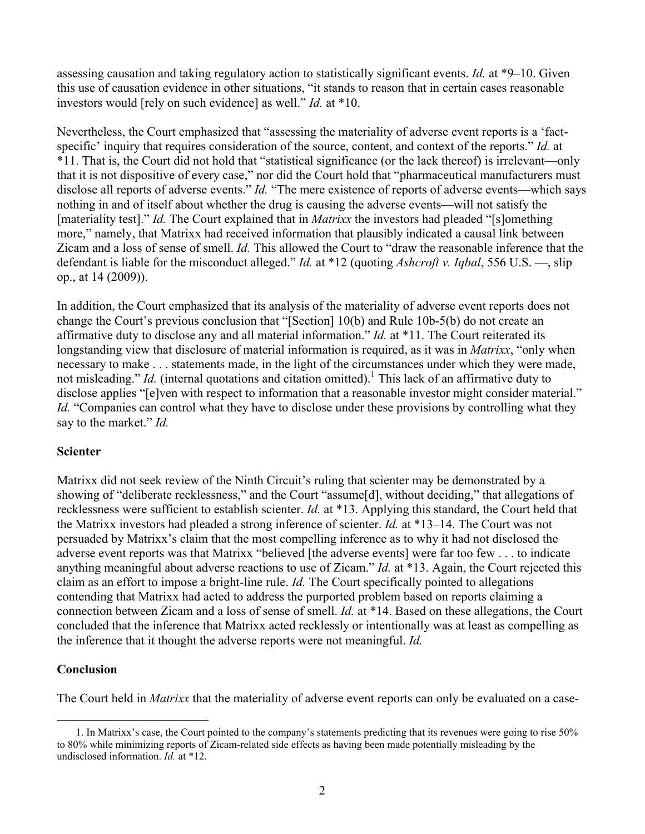assessing causation and taking regulatory action to statistically significant events. *Id.* at \*9–10. Given this use of causation evidence in other situations, "it stands to reason that in certain cases reasonable investors would [rely on such evidence] as well." *Id.* at \*10.

Nevertheless, the Court emphasized that "assessing the materiality of adverse event reports is a 'factspecific' inquiry that requires consideration of the source, content, and context of the reports." *Id.* at \*11. That is, the Court did not hold that "statistical significance (or the lack thereof) is irrelevant—only that it is not dispositive of every case," nor did the Court hold that "pharmaceutical manufacturers must disclose all reports of adverse events." *Id.* "The mere existence of reports of adverse events—which says nothing in and of itself about whether the drug is causing the adverse events—will not satisfy the [materiality test]." *Id.* The Court explained that in *Matrixx* the investors had pleaded "[s]omething more," namely, that Matrixx had received information that plausibly indicated a causal link between Zicam and a loss of sense of smell. *Id.* This allowed the Court to "draw the reasonable inference that the defendant is liable for the misconduct alleged." *Id.* at \*12 (quoting *Ashcroft v. Iqbal*, 556 U.S. —, slip op., at 14 (2009)).

In addition, the Court emphasized that its analysis of the materiality of adverse event reports does not change the Court's previous conclusion that "[Section] 10(b) and Rule 10b-5(b) do not create an affirmative duty to disclose any and all material information." *Id.* at \*11. The Court reiterated its longstanding view that disclosure of material information is required, as it was in *Matrixx*, "only when necessary to make . . . statements made, in the light of the circumstances under which they were made, not misleading." *Id.* (internal quotations and citation omitted).<sup>1</sup> This lack of an affirmative duty to disclose applies "[e]ven with respect to information that a reasonable investor might consider material." *Id.* "Companies can control what they have to disclose under these provisions by controlling what they say to the market." *Id.*

## **Scienter**

Matrixx did not seek review of the Ninth Circuit's ruling that scienter may be demonstrated by a showing of "deliberate recklessness," and the Court "assume[d], without deciding," that allegations of recklessness were sufficient to establish scienter. *Id.* at \*13. Applying this standard, the Court held that the Matrixx investors had pleaded a strong inference of scienter. *Id.* at \*13–14. The Court was not persuaded by Matrixx's claim that the most compelling inference as to why it had not disclosed the adverse event reports was that Matrixx "believed [the adverse events] were far too few . . . to indicate anything meaningful about adverse reactions to use of Zicam." *Id.* at \*13. Again, the Court rejected this claim as an effort to impose a bright-line rule. *Id.* The Court specifically pointed to allegations contending that Matrixx had acted to address the purported problem based on reports claiming a connection between Zicam and a loss of sense of smell. *Id.* at \*14. Based on these allegations, the Court concluded that the inference that Matrixx acted recklessly or intentionally was at least as compelling as the inference that it thought the adverse reports were not meaningful. *Id.*

## **Conclusion**

 $\overline{a}$ 

The Court held in *Matrixx* that the materiality of adverse event reports can only be evaluated on a case-

<sup>1.</sup> In Matrixx's case, the Court pointed to the company's statements predicting that its revenues were going to rise 50% to 80% while minimizing reports of Zicam-related side effects as having been made potentially misleading by the undisclosed information. *Id.* at \*12.